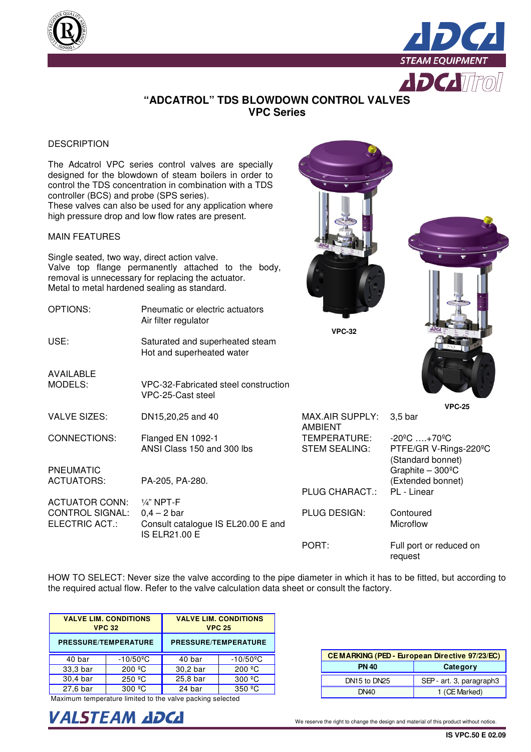



### **"ADCATROL" TDS BLOWDOWN CONTROL VALVES VPC Series**

#### DESCRIPTION

The Adcatrol VPC series control valves are specially designed for the blowdown of steam boilers in order to control the TDS concentration in combination with a TDS controller (BCS) and probe (SPS series). These valves can also be used for any application where high pressure drop and low flow rates are present.

#### MAIN FEATURES

Single seated, two way, direct action valve. Valve top flange permanently attached to the body, removal is unnecessary for replacing the actuator. Metal to metal hardened sealing as standard.

| OPTIONS:                                 | Pneumatic or electric actuators<br>Air filter regulator                     | <b>VPC-32</b>                        |                                                                                 |
|------------------------------------------|-----------------------------------------------------------------------------|--------------------------------------|---------------------------------------------------------------------------------|
| USE:                                     | Saturated and superheated steam<br>Hot and superheated water                |                                      |                                                                                 |
| <b>AVAILABLE</b><br>MODELS:              | VPC-32-Fabricated steel construction<br>VPC-25-Cast steel                   |                                      |                                                                                 |
| <b>VALVE SIZES:</b>                      |                                                                             | <b>MAX.AIR SUPPLY:</b>               | <b>VPC-25</b>                                                                   |
|                                          | DN15,20,25 and 40                                                           | <b>AMBIENT</b>                       | $3,5$ bar                                                                       |
| CONNECTIONS:                             | Flanged EN 1092-1<br>ANSI Class 150 and 300 lbs                             | TEMPERATURE:<br><b>STEM SEALING:</b> | $-20^{\circ}$ C  +70 $^{\circ}$ C<br>PTFE/GR V-Rings-220°C<br>(Standard bonnet) |
| <b>PNEUMATIC</b>                         |                                                                             |                                      | Graphite $-300^{\circ}$ C                                                       |
| <b>ACTUATORS:</b>                        | PA-205, PA-280.                                                             | <b>PLUG CHARACT.:</b>                | (Extended bonnet)<br>PL - Linear                                                |
| <b>ACTUATOR CONN:</b>                    | $1/4$ " NPT-F                                                               |                                      |                                                                                 |
| <b>CONTROL SIGNAL:</b><br>ELECTRIC ACT.: | $0,4 - 2$ bar<br>Consult catalogue IS EL20.00 E and<br><b>IS ELR21.00 E</b> | PLUG DESIGN:                         | Contoured<br>Microflow                                                          |
|                                          |                                                                             | PORT:                                | Full port or reduced on<br>request                                              |

HOW TO SELECT: Never size the valve according to the pipe diameter in which it has to be fitted, but according to the required actual flow. Refer to the valve calculation data sheet or consult the factory.

|          | <b>VALVE LIM. CONDITIONS</b><br><b>VPC 32</b> | <b>VALVE LIM. CONDITIONS</b><br><b>VPC 25</b> |                          |  |  |  |  |
|----------|-----------------------------------------------|-----------------------------------------------|--------------------------|--|--|--|--|
|          | <b>PRESSURE/TEMPERATURE</b>                   | <b>PRESSURE/TEMPERATURE</b>                   |                          |  |  |  |  |
| 40 bar   | $-10/50$ <sup>o</sup> C                       | 40 bar                                        | $-10/50$ <sup>o</sup> C  |  |  |  |  |
| 33,3 bar | 200 °C                                        | 30,2 bar                                      | 200 °C                   |  |  |  |  |
| 30,4 bar | 250 °C                                        | 25,8 bar                                      | 300 °C                   |  |  |  |  |
| 27,6 bar | $300 \text{ }^{\circ}$ C                      | 24 bar                                        | $350 \text{ }^{\circ}$ C |  |  |  |  |

Maximum temperature limited to the valve packing selected



| CEMARKING (PED - European Directive 97/23/EC) |                          |  |  |  |  |
|-----------------------------------------------|--------------------------|--|--|--|--|
| <b>PN 40</b>                                  | Category                 |  |  |  |  |
| DN15 to DN25                                  | SEP - art. 3, paragraph3 |  |  |  |  |
| DN40                                          | 1 (CE Marked)            |  |  |  |  |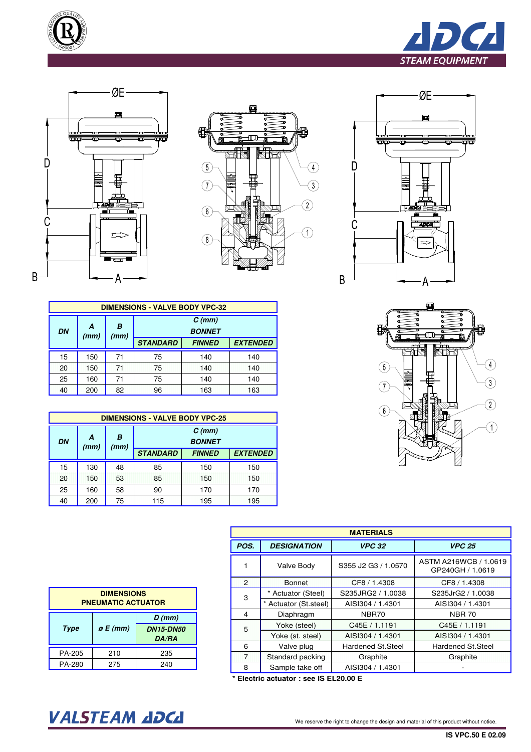









| mт<br>,,,,,,,,,,, |
|-------------------|
| ,,,,,,<br>h<br>п  |
| 6                 |
|                   |

|    | <b>DIMENSIONS - VALVE BODY VPC-32</b> |           |                                                     |     |     |  |  |  |  |  |
|----|---------------------------------------|-----------|-----------------------------------------------------|-----|-----|--|--|--|--|--|
| DN | A<br>(mm)                             | В<br>(mm) | $C$ (mm)<br><b>BONNET</b>                           |     |     |  |  |  |  |  |
|    |                                       |           | <b>STANDARD</b><br><b>EXTENDED</b><br><b>FINNED</b> |     |     |  |  |  |  |  |
| 15 | 150                                   | 71        | 75                                                  | 140 |     |  |  |  |  |  |
| 20 | 150                                   | 71        | 75                                                  | 140 | 140 |  |  |  |  |  |
| 25 | 160                                   | 71        | 75<br>140<br>140                                    |     |     |  |  |  |  |  |
| 40 | 200                                   | 82        | 96<br>163<br>163                                    |     |     |  |  |  |  |  |

|           | <b>DIMENSIONS - VALVE BODY VPC-25</b> |           |                                                     |     |     |  |  |  |  |  |
|-----------|---------------------------------------|-----------|-----------------------------------------------------|-----|-----|--|--|--|--|--|
| <b>DN</b> | A<br>(mm)                             | B<br>(mm) | $C$ (mm)<br><b>BONNET</b>                           |     |     |  |  |  |  |  |
|           |                                       |           | <b>STANDARD</b><br><b>EXTENDED</b><br><b>FINNED</b> |     |     |  |  |  |  |  |
| 15        | 130                                   | 48        | 85                                                  | 150 | 150 |  |  |  |  |  |
| 20        | 150                                   | 53        | 85                                                  | 150 | 150 |  |  |  |  |  |
| 25        | 160                                   | 58        | 170<br>90<br>170                                    |     |     |  |  |  |  |  |
| 40        | 200                                   | 75        | 115<br>195<br>195                                   |     |     |  |  |  |  |  |

| <b>MATERIALS</b> |                     |                     |                                           |  |  |  |  |  |
|------------------|---------------------|---------------------|-------------------------------------------|--|--|--|--|--|
| POS.             | <b>DESIGNATION</b>  | <b>VPC 32</b>       | <b>VPC 25</b>                             |  |  |  |  |  |
|                  | Valve Body          | S355 J2 G3 / 1.0570 | ASTM A216WCB / 1.0619<br>GP240GH / 1.0619 |  |  |  |  |  |
| $\overline{2}$   | <b>Bonnet</b>       | CF8 / 1.4308        | CF8 / 1.4308                              |  |  |  |  |  |
| 3                | * Actuator (Steel)  | S235JRG2 / 1.0038   | S235JrG2 / 1.0038                         |  |  |  |  |  |
|                  | Actuator (St.steel) | AISI304 / 1.4301    | AISI304 / 1.4301                          |  |  |  |  |  |
| 4                | Diaphragm           | NBR70               | <b>NBR 70</b>                             |  |  |  |  |  |
| 5                | Yoke (steel)        | C45E / 1.1191       | C45E / 1.1191                             |  |  |  |  |  |
|                  | Yoke (st. steel)    | AISI304 / 1.4301    | AISI304 / 1.4301                          |  |  |  |  |  |
| 6                | Valve plug          | Hardened St.Steel   | Hardened St. Steel                        |  |  |  |  |  |
| $\overline{7}$   | Standard packing    | Graphite            | Graphite                                  |  |  |  |  |  |
| 8                | Sample take off     | AISI304 / 1.4301    |                                           |  |  |  |  |  |

**\* Electric actuator : see IS EL20.00 E**

| <b>DIMENSIONS</b><br><b>PNEUMATIC ACTUATOR</b>                        |     |     |  |  |  |  |  |
|-----------------------------------------------------------------------|-----|-----|--|--|--|--|--|
| $D$ (mm)<br>$\rho$ E (mm)<br>Type<br><b>DN15-DN50</b><br><b>DA/RA</b> |     |     |  |  |  |  |  |
| PA-205                                                                | 210 | 235 |  |  |  |  |  |
| PA-280<br>275<br>240                                                  |     |     |  |  |  |  |  |

# VALSTEAM ADCA We reserve the right to change the design and material of this product without notice.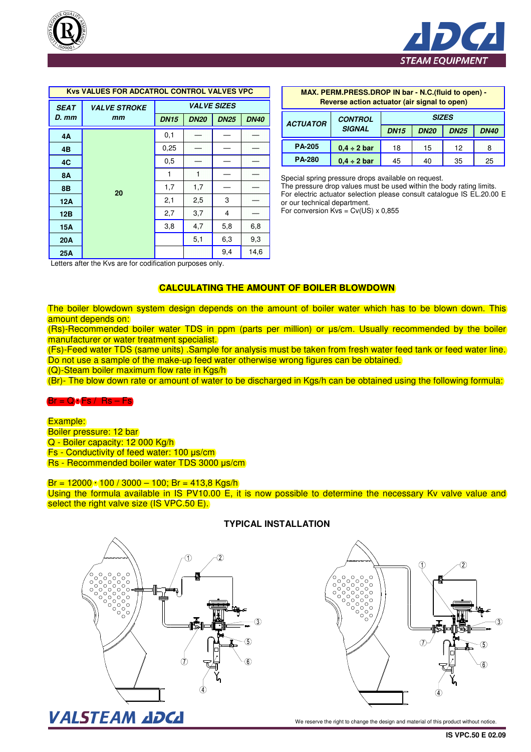



| <b>Kys VALUES FOR ADCATROL CONTROL VALVES VPC</b> |                     |                    |             |             |             |  |  |  |
|---------------------------------------------------|---------------------|--------------------|-------------|-------------|-------------|--|--|--|
| <b>SEAT</b>                                       | <b>VALVE STROKE</b> | <b>VALVE SIZES</b> |             |             |             |  |  |  |
| D. mm                                             | mm                  | <b>DN15</b>        | <b>DN20</b> | <b>DN25</b> | <b>DN40</b> |  |  |  |
| 4A                                                |                     | 0,1                |             |             |             |  |  |  |
| 4B                                                |                     | 0,25               |             |             |             |  |  |  |
| 4C                                                |                     | 0.5                |             |             |             |  |  |  |
| <b>8A</b>                                         |                     | 1                  | đ           |             |             |  |  |  |
| 8Β                                                | 20                  | 1,7                | 1,7         |             |             |  |  |  |
| 12A                                               |                     | 2,1                | 2,5         | 3           |             |  |  |  |
| 12B                                               |                     | 2,7                | 3,7         | 4           |             |  |  |  |
| <b>15A</b>                                        |                     | 3,8                | 4,7         | 5,8         | 6,8         |  |  |  |
| 20A                                               |                     |                    | 5,1         | 6,3         | 9,3         |  |  |  |
| 25A                                               |                     |                    |             | 9,4         | 14,6        |  |  |  |

| <b>OL CONTROL VALVES VPC</b> |             | MAX. PERM.PRESS.DROP IN bar - N.C.(fluid to open) - |             |                                              |                  |              |             |             |             |  |  |
|------------------------------|-------------|-----------------------------------------------------|-------------|----------------------------------------------|------------------|--------------|-------------|-------------|-------------|--|--|
|                              |             | <b>VALVE SIZES</b>                                  |             | Reverse action actuator (air signal to open) |                  |              |             |             |             |  |  |
| <b>DN15</b>                  | <b>DN20</b> | <b>DN25</b>                                         | <b>DN40</b> | <b>ACTUATOR</b>                              | <b>CONTROL</b>   | <b>SIZES</b> |             |             |             |  |  |
| 0,1                          |             |                                                     |             |                                              | <b>SIGNAL</b>    | <b>DN15</b>  | <b>DN20</b> | <b>DN25</b> | <b>DN40</b> |  |  |
| 0,25                         |             |                                                     |             | <b>PA-205</b>                                | $0.4 \div 2$ bar | 18           | 15          | 12          | 8           |  |  |
| 0,5                          |             |                                                     |             | <b>PA-280</b>                                | $0.4 \div 2$ bar | 45           | 40          | 35          | 25          |  |  |

Special spring pressure drops available on request. The pressure drop values must be used within the body rating limits. For electric actuator selection please consult catalogue IS EL.20.00 E or our technical department.

For conversion  $Kvs = Cv(US) \times 0.855$ 

Letters after the Kvs are for codification purposes only.

### **CALCULATING THE AMOUNT OF BOILER BLOWDOWN**

The boiler blowdown system design depends on the amount of boiler water which has to be blown down. This amount depends on:

(Rs)-Recommended boiler water TDS in ppm (parts per million) or µs/cm. Usually recommended by the boiler manufacturer or water treatment specialist.

(Fs)-Feed water TDS (same units) .Sample for analysis must be taken from fresh water feed tank or feed water line. Do not use a sample of the make-up feed water otherwise wrong figures can be obtained.

(Q)-Steam boiler maximum flow rate in Kgs/h

(Br)- The blow down rate or amount of water to be discharged in Kgs/h can be obtained using the following formula:

#### $Br = QoFs / Rs - Fs$

Example: Boiler pressure: 12 bar Q - Boiler capacity: 12 000 Kg/h Fs - Conductivity of feed water: 100 µs/cm Rs - Recommended boiler water TDS 3000 µs/cm

 $Br = 12000$   $100 / 3000 - 100$ ; Br = 413,8 Kgs/h

Using the formula available in IS PV10.00 E, it is now possible to determine the necessary Ky valve value and select the right valve size (IS VPC.50 E).



#### **TYPICAL INSTALLATION**